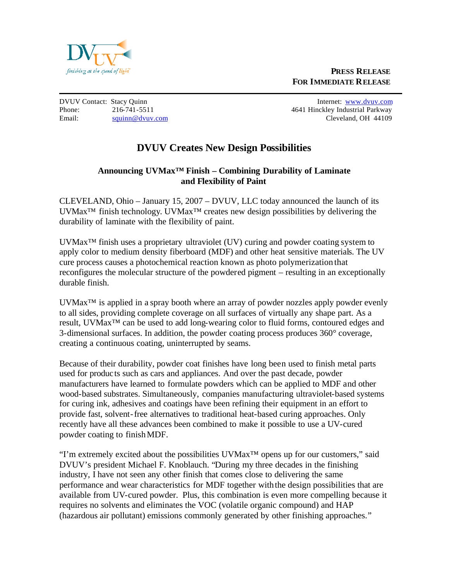

Phone: 216-741-5511 2009 216-741-5511 2009 216-741-5511 2009 216-741-5511 Email: squinn@dvuv.com Cleveland, OH 44109

DVUV Contact: Stacy Quinn Internet: www.dvuv.com

## **DVUV Creates New Design Possibilities**

## **Announcing UVMax™ Finish – Combining Durability of Laminate and Flexibility of Paint**

CLEVELAND, Ohio – January 15, 2007 – DVUV, LLC today announced the launch of its UVMax™ finish technology. UVMax™ creates new design possibilities by delivering the durability of laminate with the flexibility of paint.

UVMax™ finish uses a proprietary ultraviolet (UV) curing and powder coating system to apply color to medium density fiberboard (MDF) and other heat sensitive materials. The UV cure process causes a photochemical reaction known as photo polymerization that reconfigures the molecular structure of the powdered pigment – resulting in an exceptionally durable finish.

UVMax<sup>™</sup> is applied in a spray booth where an array of powder nozzles apply powder evenly to all sides, providing complete coverage on all surfaces of virtually any shape part. As a result, UVMax™ can be used to add long-wearing color to fluid forms, contoured edges and 3-dimensional surfaces. In addition, the powder coating process produces 360° coverage, creating a continuous coating, uninterrupted by seams.

Because of their durability, powder coat finishes have long been used to finish metal parts used for products such as cars and appliances. And over the past decade, powder manufacturers have learned to formulate powders which can be applied to MDF and other wood-based substrates. Simultaneously, companies manufacturing ultraviolet-based systems for curing ink, adhesives and coatings have been refining their equipment in an effort to provide fast, solvent-free alternatives to traditional heat-based curing approaches. Only recently have all these advances been combined to make it possible to use a UV-cured powder coating to finish MDF.

"I'm extremely excited about the possibilities UVMax™ opens up for our customers," said DVUV's president Michael F. Knoblauch. "During my three decades in the finishing industry, I have not seen any other finish that comes close to delivering the same performance and wear characteristics for MDF together with the design possibilities that are available from UV-cured powder. Plus, this combination is even more compelling because it requires no solvents and eliminates the VOC (volatile organic compound) and HAP (hazardous air pollutant) emissions commonly generated by other finishing approaches."